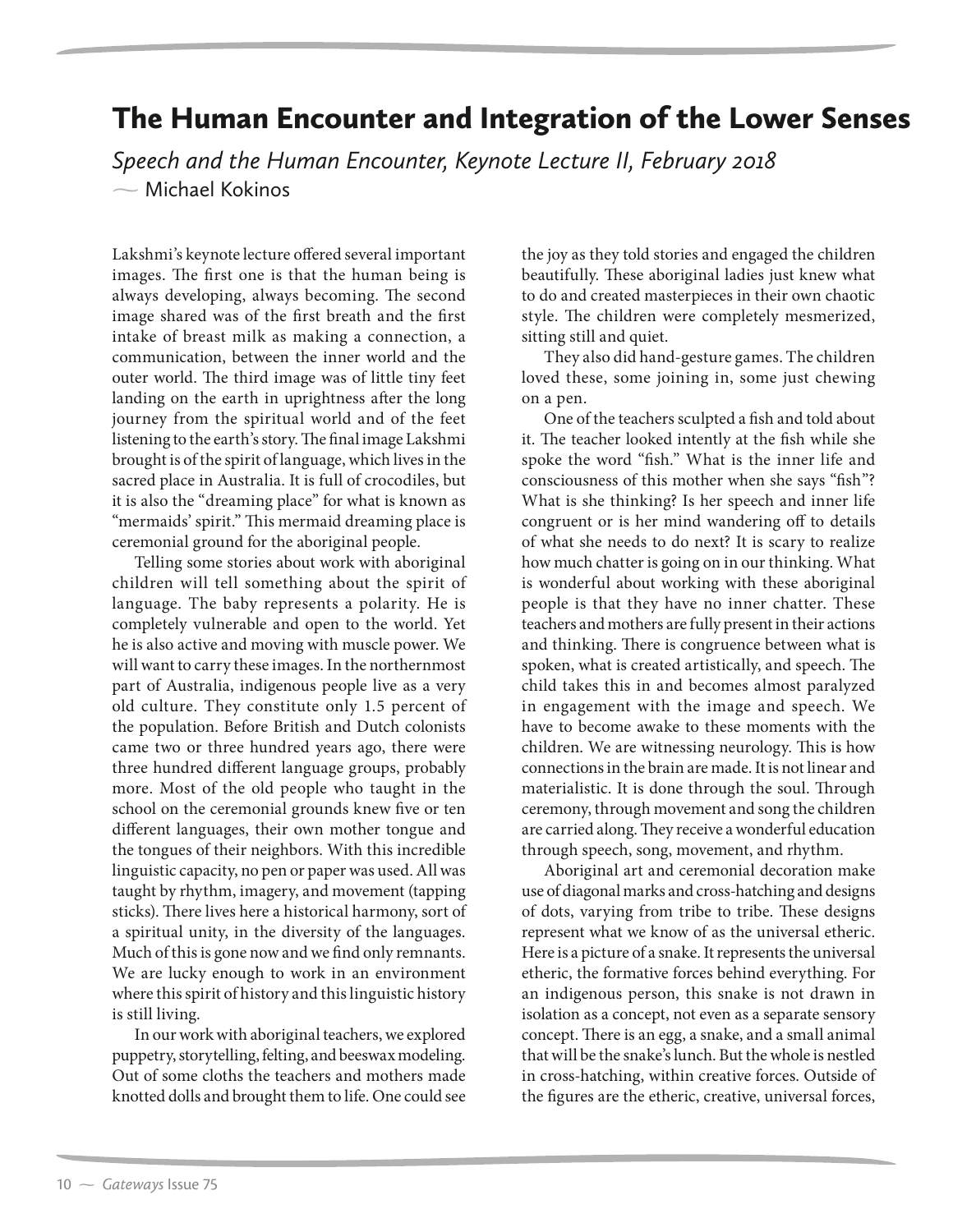## The Human Encounter and Integration of the Lower Senses

*Speech and the Human Encounter, Keynote Lecture II, February 2018*  $\sim$  Michael Kokinos

Lakshmi's keynote lecture offered several important images. The first one is that the human being is always developing, always becoming. The second image shared was of the first breath and the first intake of breast milk as making a connection, a communication, between the inner world and the outer world. The third image was of little tiny feet landing on the earth in uprightness after the long journey from the spiritual world and of the feet listening to the earth's story. The final image Lakshmi brought is of the spirit of language, which lives in the sacred place in Australia. It is full of crocodiles, but it is also the "dreaming place" for what is known as "mermaids' spirit." This mermaid dreaming place is ceremonial ground for the aboriginal people.

Telling some stories about work with aboriginal children will tell something about the spirit of language. The baby represents a polarity. He is completely vulnerable and open to the world. Yet he is also active and moving with muscle power. We will want to carry these images. In the northernmost part of Australia, indigenous people live as a very old culture. They constitute only 1.5 percent of the population. Before British and Dutch colonists came two or three hundred years ago, there were three hundred different language groups, probably more. Most of the old people who taught in the school on the ceremonial grounds knew five or ten different languages, their own mother tongue and the tongues of their neighbors. With this incredible linguistic capacity, no pen or paper was used. All was taught by rhythm, imagery, and movement (tapping sticks). There lives here a historical harmony, sort of a spiritual unity, in the diversity of the languages. Much of this is gone now and we find only remnants. We are lucky enough to work in an environment where this spirit of history and this linguistic history is still living.

In our work with aboriginal teachers, we explored puppetry, storytelling, felting, and beeswax modeling. Out of some cloths the teachers and mothers made knotted dolls and brought them to life. One could see

the joy as they told stories and engaged the children beautifully. These aboriginal ladies just knew what to do and created masterpieces in their own chaotic style. The children were completely mesmerized, sitting still and quiet.

They also did hand-gesture games. The children loved these, some joining in, some just chewing on a pen.

One of the teachers sculpted a fish and told about it. The teacher looked intently at the fish while she spoke the word "fish." What is the inner life and consciousness of this mother when she says "fish"? What is she thinking? Is her speech and inner life congruent or is her mind wandering off to details of what she needs to do next? It is scary to realize how much chatter is going on in our thinking. What is wonderful about working with these aboriginal people is that they have no inner chatter. These teachers and mothers are fully present in their actions and thinking. There is congruence between what is spoken, what is created artistically, and speech. The child takes this in and becomes almost paralyzed in engagement with the image and speech. We have to become awake to these moments with the children. We are witnessing neurology. This is how connections in the brain are made. It is not linear and materialistic. It is done through the soul. Through ceremony, through movement and song the children are carried along. They receive a wonderful education through speech, song, movement, and rhythm.

Aboriginal art and ceremonial decoration make use of diagonal marks and cross-hatching and designs of dots, varying from tribe to tribe. These designs represent what we know of as the universal etheric. Here is a picture of a snake. It represents the universal etheric, the formative forces behind everything. For an indigenous person, this snake is not drawn in isolation as a concept, not even as a separate sensory concept. There is an egg, a snake, and a small animal that will be the snake's lunch. But the whole is nestled in cross-hatching, within creative forces. Outside of the figures are the etheric, creative, universal forces,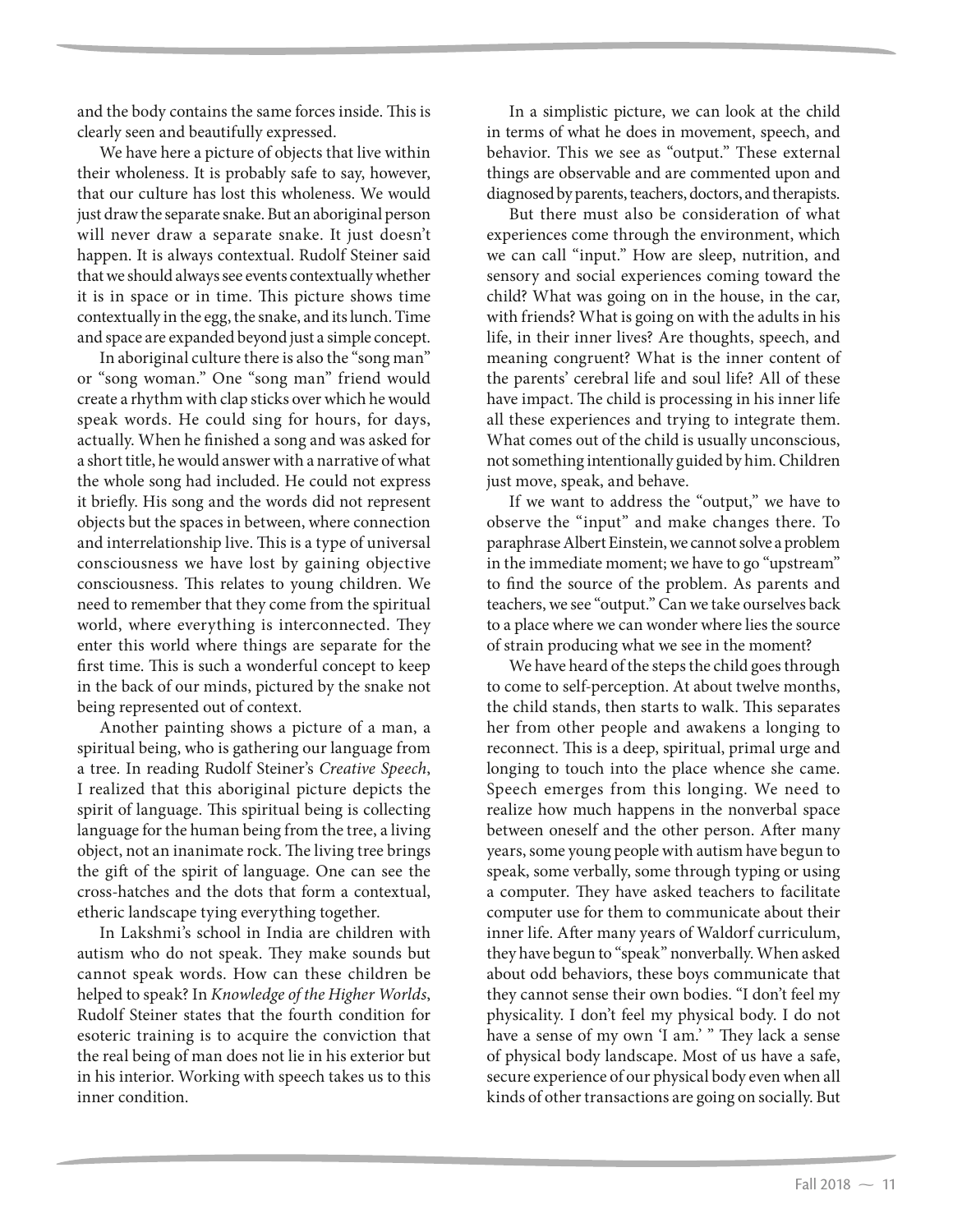and the body contains the same forces inside. This is clearly seen and beautifully expressed.

We have here a picture of objects that live within their wholeness. It is probably safe to say, however, that our culture has lost this wholeness. We would just draw the separate snake. But an aboriginal person will never draw a separate snake. It just doesn't happen. It is always contextual. Rudolf Steiner said that we should always see events contextually whether it is in space or in time. This picture shows time contextually in the egg, the snake, and its lunch. Time and space are expanded beyond just a simple concept.

In aboriginal culture there is also the "song man" or "song woman." One "song man" friend would create a rhythm with clap sticks over which he would speak words. He could sing for hours, for days, actually. When he finished a song and was asked for a short title, he would answer with a narrative of what the whole song had included. He could not express it briefly. His song and the words did not represent objects but the spaces in between, where connection and interrelationship live. This is a type of universal consciousness we have lost by gaining objective consciousness. This relates to young children. We need to remember that they come from the spiritual world, where everything is interconnected. They enter this world where things are separate for the first time. This is such a wonderful concept to keep in the back of our minds, pictured by the snake not being represented out of context.

Another painting shows a picture of a man, a spiritual being, who is gathering our language from a tree. In reading Rudolf Steiner's *Creative Speech*, I realized that this aboriginal picture depicts the spirit of language. This spiritual being is collecting language for the human being from the tree, a living object, not an inanimate rock. The living tree brings the gift of the spirit of language. One can see the cross-hatches and the dots that form a contextual, etheric landscape tying everything together.

In Lakshmi's school in India are children with autism who do not speak. They make sounds but cannot speak words. How can these children be helped to speak? In *Knowledge of the Higher Worlds*, Rudolf Steiner states that the fourth condition for esoteric training is to acquire the conviction that the real being of man does not lie in his exterior but in his interior. Working with speech takes us to this inner condition.

In a simplistic picture, we can look at the child in terms of what he does in movement, speech, and behavior. This we see as "output." These external things are observable and are commented upon and diagnosed by parents, teachers, doctors, and therapists.

But there must also be consideration of what experiences come through the environment, which we can call "input." How are sleep, nutrition, and sensory and social experiences coming toward the child? What was going on in the house, in the car, with friends? What is going on with the adults in his life, in their inner lives? Are thoughts, speech, and meaning congruent? What is the inner content of the parents' cerebral life and soul life? All of these have impact. The child is processing in his inner life all these experiences and trying to integrate them. What comes out of the child is usually unconscious, not something intentionally guided by him. Children just move, speak, and behave.

If we want to address the "output," we have to observe the "input" and make changes there. To paraphrase Albert Einstein, we cannot solve a problem in the immediate moment; we have to go "upstream" to find the source of the problem. As parents and teachers, we see "output." Can we take ourselves back to a place where we can wonder where lies the source of strain producing what we see in the moment?

We have heard of the steps the child goes through to come to self-perception. At about twelve months, the child stands, then starts to walk. This separates her from other people and awakens a longing to reconnect. This is a deep, spiritual, primal urge and longing to touch into the place whence she came. Speech emerges from this longing. We need to realize how much happens in the nonverbal space between oneself and the other person. After many years, some young people with autism have begun to speak, some verbally, some through typing or using a computer. They have asked teachers to facilitate computer use for them to communicate about their inner life. After many years of Waldorf curriculum, they have begun to "speak" nonverbally. When asked about odd behaviors, these boys communicate that they cannot sense their own bodies. "I don't feel my physicality. I don't feel my physical body. I do not have a sense of my own 'I am.' " They lack a sense of physical body landscape. Most of us have a safe, secure experience of our physical body even when all kinds of other transactions are going on socially. But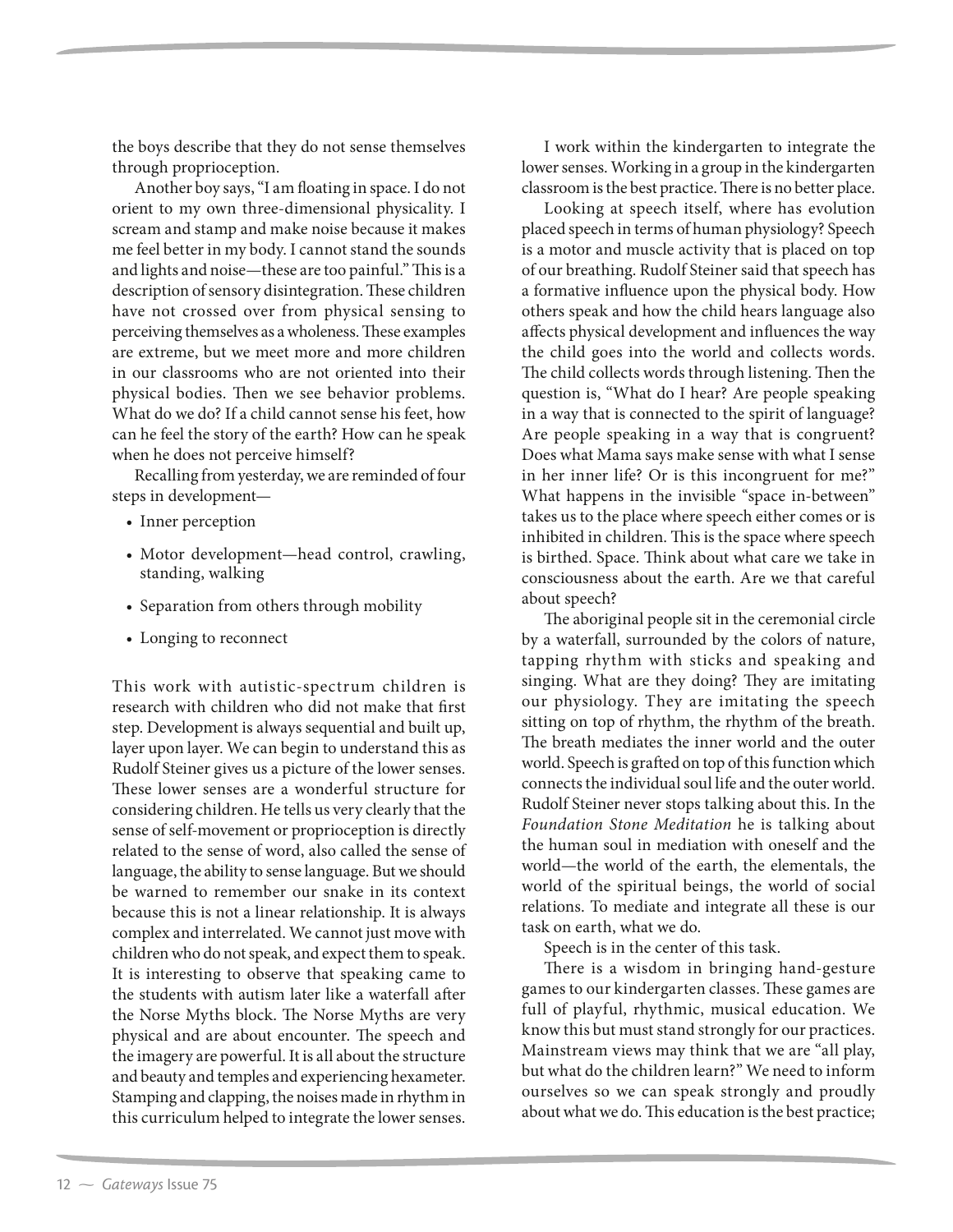the boys describe that they do not sense themselves through proprioception.

Another boy says, "I am floating in space. I do not orient to my own three-dimensional physicality. I scream and stamp and make noise because it makes me feel better in my body. I cannot stand the sounds and lights and noise—these are too painful." This is a description of sensory disintegration. These children have not crossed over from physical sensing to perceiving themselves as a wholeness. These examples are extreme, but we meet more and more children in our classrooms who are not oriented into their physical bodies. Then we see behavior problems. What do we do? If a child cannot sense his feet, how can he feel the story of the earth? How can he speak when he does not perceive himself?

Recalling from yesterday, we are reminded of four steps in development—

- Inner perception
- Motor development—head control, crawling, standing, walking
- Separation from others through mobility
- Longing to reconnect

This work with autistic-spectrum children is research with children who did not make that first step. Development is always sequential and built up, layer upon layer. We can begin to understand this as Rudolf Steiner gives us a picture of the lower senses. These lower senses are a wonderful structure for considering children. He tells us very clearly that the sense of self-movement or proprioception is directly related to the sense of word, also called the sense of language, the ability to sense language. But we should be warned to remember our snake in its context because this is not a linear relationship. It is always complex and interrelated. We cannot just move with children who do not speak, and expect them to speak. It is interesting to observe that speaking came to the students with autism later like a waterfall after the Norse Myths block. The Norse Myths are very physical and are about encounter. The speech and the imagery are powerful. It is all about the structure and beauty and temples and experiencing hexameter. Stamping and clapping, the noises made in rhythm in this curriculum helped to integrate the lower senses.

I work within the kindergarten to integrate the lower senses. Working in a group in the kindergarten classroom is the best practice. There is no better place.

Looking at speech itself, where has evolution placed speech in terms of human physiology? Speech is a motor and muscle activity that is placed on top of our breathing. Rudolf Steiner said that speech has a formative influence upon the physical body. How others speak and how the child hears language also affects physical development and influences the way the child goes into the world and collects words. The child collects words through listening. Then the question is, "What do I hear? Are people speaking in a way that is connected to the spirit of language? Are people speaking in a way that is congruent? Does what Mama says make sense with what I sense in her inner life? Or is this incongruent for me?" What happens in the invisible "space in-between" takes us to the place where speech either comes or is inhibited in children. This is the space where speech is birthed. Space. Think about what care we take in consciousness about the earth. Are we that careful about speech?

The aboriginal people sit in the ceremonial circle by a waterfall, surrounded by the colors of nature, tapping rhythm with sticks and speaking and singing. What are they doing? They are imitating our physiology. They are imitating the speech sitting on top of rhythm, the rhythm of the breath. The breath mediates the inner world and the outer world. Speech is grafted on top of this function which connects the individual soul life and the outer world. Rudolf Steiner never stops talking about this. In the *Foundation Stone Meditation* he is talking about the human soul in mediation with oneself and the world—the world of the earth, the elementals, the world of the spiritual beings, the world of social relations. To mediate and integrate all these is our task on earth, what we do.

Speech is in the center of this task.

There is a wisdom in bringing hand-gesture games to our kindergarten classes. These games are full of playful, rhythmic, musical education. We know this but must stand strongly for our practices. Mainstream views may think that we are "all play, but what do the children learn?" We need to inform ourselves so we can speak strongly and proudly about what we do. This education is the best practice;